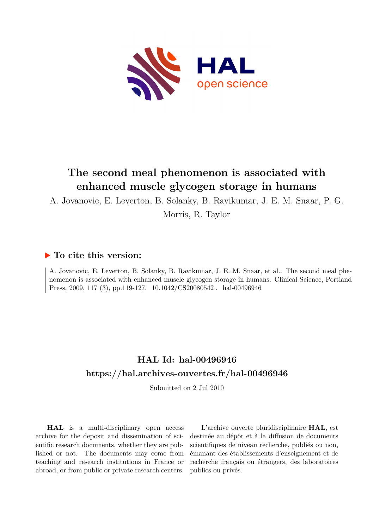

# **The second meal phenomenon is associated with enhanced muscle glycogen storage in humans**

A. Jovanovic, E. Leverton, B. Solanky, B. Ravikumar, J. E. M. Snaar, P. G.

Morris, R. Taylor

## **To cite this version:**

A. Jovanovic, E. Leverton, B. Solanky, B. Ravikumar, J. E. M. Snaar, et al.. The second meal phenomenon is associated with enhanced muscle glycogen storage in humans. Clinical Science, Portland Press, 2009, 117 (3), pp.119-127.  $10.1042/CS20080542$ . hal-00496946

## **HAL Id: hal-00496946 <https://hal.archives-ouvertes.fr/hal-00496946>**

Submitted on 2 Jul 2010

**HAL** is a multi-disciplinary open access archive for the deposit and dissemination of scientific research documents, whether they are published or not. The documents may come from teaching and research institutions in France or abroad, or from public or private research centers.

L'archive ouverte pluridisciplinaire **HAL**, est destinée au dépôt et à la diffusion de documents scientifiques de niveau recherche, publiés ou non, émanant des établissements d'enseignement et de recherche français ou étrangers, des laboratoires publics ou privés.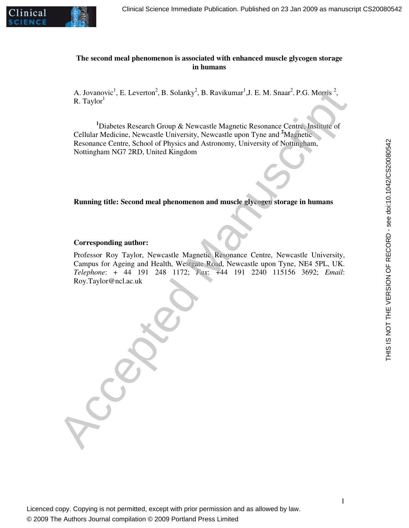

1

THIS IS NOT THE VERSION OF RECORD - see doi:10.1042/CS20080542

THIS IS NOT THE VERSION OF RECORD - see doi:10.1042/CS20080542

#### **The second meal phenomenon is associated with enhanced muscle glycogen storage in humans**

A. Jovanovic<sup>1</sup>, E. Leverton<sup>2</sup>, B. Solanky<sup>2</sup>, B. Ravikumar<sup>1</sup>, J. E. M. Snaar<sup>2</sup>, P.G. Morris<sup>2</sup>,  $R.$  Taylor<sup>1</sup>

**<sup>1</sup>**Diabetes Research Group & Newcastle Magnetic Resonance Centre, Institute of Cellular Medicine, Newcastle University, Newcastle upon Tyne and **<sup>2</sup>**Magnetic Resonance Centre, School of Physics and Astronomy, University of Nottingham, Nottingham NG7 2RD, United Kingdom

**Running title: Second meal phenomenon and muscle glycogen storage in humans**

#### **Corresponding author:**

Professor Roy Taylor, Newcastle Magnetic Resonance Centre, Newcastle University, Campus for Ageing and Health, Westgate Road, Newcastle upon Tyne, NE4 5PL, UK. *Telephone*: + 44 191 248 1172; *Fax*: +44 191 2240 115156 3692; *Email*: Roy.Taylor@ncl.ac.uk A. Jovanovic<sup>1</sup>, E. Leverton<sup>2</sup>, B. Schanky<sup>3</sup>, B. Ravikumar<sup>1</sup>, J. E. M. Smar<sup>2</sup>, P.G. Morris<sup>2</sup>, R. Taylor<sup>1</sup><br>
R. Taylor<sup>1</sup><br>
Cellular Medicine, Newcastle University, Newcastle upon Type and <sup>2</sup>Magnetic of<br>
Cellular Medic

Licenced copy. Copying is not permitted, except with prior permission and as allowed by law. © 2009 The Authors Journal compilation © 2009 Portland Press Limited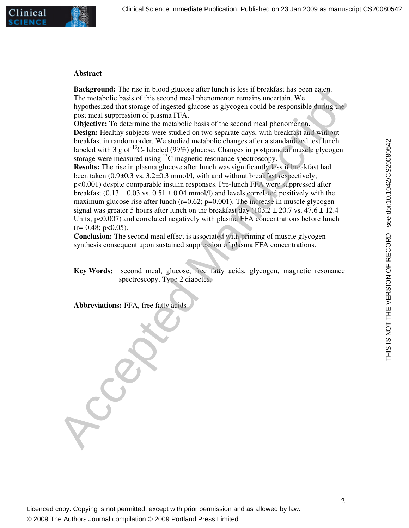#### **Abstract**

**Background:** The rise in blood glucose after lunch is less if breakfast has been eaten. The metabolic basis of this second meal phenomenon remains uncertain. We hypothesized that storage of ingested glucose as glycogen could be responsible during the post meal suppression of plasma FFA.

**Objective:** To determine the metabolic basis of the second meal phenomenon. **Design:** Healthy subjects were studied on two separate days, with breakfast and without breakfast in random order. We studied metabolic changes after a standardized test lunch labeled with 3 g of  ${}^{13}C$ - labeled (99%) glucose. Changes in postprandial muscle glycogen storage were measured using <sup>13</sup>C magnetic resonance spectroscopy.

**Results:** The rise in plasma glucose after lunch was significantly less if breakfast had been taken (0.9*±*0.3 vs. 3.2*±*0.3 mmol/l, with and without breakfast respectively; p<0.001) despite comparable insulin responses. Pre-lunch FFA were suppressed after breakfast (0.13  $\pm$  0.03 vs. 0.51  $\pm$  0.04 mmol/l) and levels correlated positively with the maximum glucose rise after lunch  $(r=0.62; p=0.001)$ . The increase in muscle glycogen signal was greater 5 hours after lunch on the breakfast day  $(103.2 \pm 20.7 \text{ vs. } 47.6 \pm 12.4 \text{ s})$ Units;  $p<0.007$  and correlated negatively with plasma FFA concentrations before lunch  $(r=-0.48; p<0.05)$ . Backgroomd: The rise in blood glocos after lunch is less if breakhast has been attended to the prediction is less if because and phenomenon remains uncertain. We hypothesized that story of ingested glucose as glycogrn cou

**Conclusion:** The second meal effect is associated with priming of muscle glycogen synthesis consequent upon sustained suppression of plasma FFA concentrations.

**Key Words:** second meal, glucose, free fatty acids, glycogen, magnetic resonance spectroscopy, Type 2 diabetes.

**Abbreviations:** FFA, free fatty acids

© 2009 The Authors Journal compilation © 2009 Portland Press Limited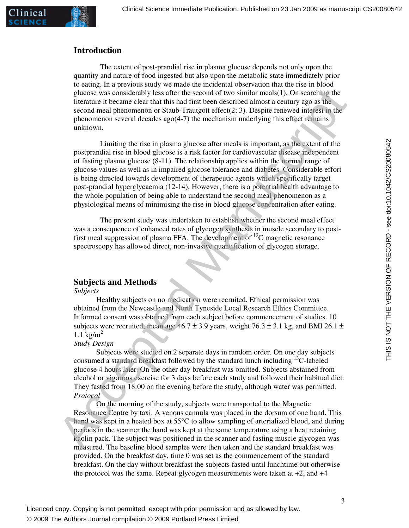

linical

The extent of post-prandial rise in plasma glucose depends not only upon the quantity and nature of food ingested but also upon the metabolic state immediately prior to eating. In a previous study we made the incidental observation that the rise in blood glucose was considerably less after the second of two similar meals(1). On searching the literature it became clear that this had first been described almost a century ago as the second meal phenomenon or Staub-Trautgott effect(2; 3). Despite renewed interest in the phenomenon several decades ago(4-7) the mechanism underlying this effect remains unknown.

Limiting the rise in plasma glucose after meals is important, as the extent of the postprandial rise in blood glucose is a risk factor for cardiovascular disease independent of fasting plasma glucose (8-11). The relationship applies within the normal range of glucose values as well as in impaired glucose tolerance and diabetes. Considerable effort is being directed towards development of therapeutic agents which specifically target post-prandial hyperglycaemia (12-14). However, there is a potential health advantage to the whole population of being able to understand the second meal phenomenon as a physiological means of minimising the rise in blood glucose concentration after eating. gluccase was considerably less affer the second of two simular mush/1). On searching the<br>diterstment is became clear that this had first been described almost a century ago as the<br>accept mean electrom and the last their d

The present study was undertaken to establish whether the second meal effect was a consequence of enhanced rates of glycogen synthesis in muscle secondary to postfirst meal suppression of plasma FFA. The development of  $^{13}$ C magnetic resonance spectroscopy has allowed direct, non-invasive quantification of glycogen storage.

### **Subjects and Methods**

#### *Subjects*

Healthy subjects on no medication were recruited. Ethical permission was obtained from the Newcastle and North Tyneside Local Research Ethics Committee. Informed consent was obtained from each subject before commencement of studies. 10 subjects were recruited, mean age  $46.7 \pm 3.9$  years, weight 76.3  $\pm$  3.1 kg, and BMI 26.1  $\pm$  $1.1 \text{ kg/m}^2$ 

#### *Study Design*

Subjects were studied on 2 separate days in random order. On one day subjects consumed a standard breakfast followed by the standard lunch including  $13C$ -labeled glucose 4 hours later. On the other day breakfast was omitted. Subjects abstained from alcohol or vigorous exercise for 3 days before each study and followed their habitual diet. They fasted from 18:00 on the evening before the study, although water was permitted. *Protocol* 

On the morning of the study, subjects were transported to the Magnetic Resonance Centre by taxi. A venous cannula was placed in the dorsum of one hand. This hand was kept in a heated box at 55<sup>o</sup>C to allow sampling of arterialized blood, and during periods in the scanner the hand was kept at the same temperature using a heat retaining kaolin pack. The subject was positioned in the scanner and fasting muscle glycogen was measured. The baseline blood samples were then taken and the standard breakfast was provided. On the breakfast day, time 0 was set as the commencement of the standard breakfast. On the day without breakfast the subjects fasted until lunchtime but otherwise the protocol was the same. Repeat glycogen measurements were taken at  $+2$ , and  $+4$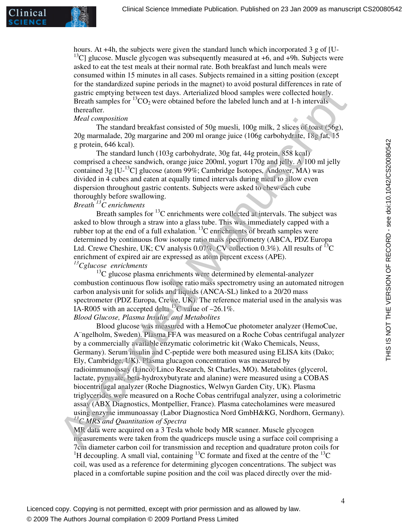inical

hours. At  $+4h$ , the subjects were given the standard lunch which incorporated 3 g of [U-<sup>13</sup>C] glucose. Muscle glycogen was subsequently measured at  $+6$ , and  $+9h$ . Subjects were asked to eat the test meals at their normal rate. Both breakfast and lunch meals were consumed within 15 minutes in all cases. Subjects remained in a sitting position (except for the standardized supine periods in the magnet) to avoid postural differences in rate of gastric emptying between test days. Arterialized blood samples were collected hourly. Breath samples for  ${}^{13}CO_2$  were obtained before the labeled lunch and at 1-h intervals thereafter.

#### *Meal composition*

The standard breakfast consisted of 50g muesli, 100g milk, 2 slices of toast (56g), 20g marmalade, 20g margarine and 200 ml orange juice (106g carbohydrate, 18g fat, 15 g protein, 646 kcal).

The standard lunch (103g carbohydrate, 30g fat, 44g protein, 858 kcal) comprised a cheese sandwich, orange juice 200ml, yogurt 170g and jelly. A 100 ml jelly contained 3g  $[U^{-13}C]$  glucose (atom 99%; Cambridge Isotopes, Andover, MA) was divided in 4 cubes and eaten at equally timed intervals during meal to allow even dispersion throughout gastric contents. Subjects were asked to chew each cube thoroughly before swallowing.

## *Breath <sup>13</sup>C enrichments*

Breath samples for  $^{13}$ C enrichments were collected at intervals. The subject was asked to blow through a straw into a glass tube. This was immediately capped with a rubber top at the end of a full exhalation.<sup>13</sup>C enrichments of breath samples were determined by continuous flow isotope ratio mass spectrometry (ABCA, PDZ Europa Ltd. Crewe Cheshire, UK; CV analysis  $0.07\%$ , CV collection 0.3%). All results of <sup>13</sup>C enrichment of expired air are expressed as atom percent excess (APE). *<sup>13</sup>Cglucose enrichments*

 $13<sup>13</sup>C$  glucose plasma enrichments were determined by elemental-analyzer combustion continuous flow isotope ratio mass spectrometry using an automated nitrogen carbon analysis unit for solids and liquids (ANCA-SL) linked to a 20/20 mass spectrometer (PDZ Europa, Crewe, UK). The reference material used in the analysis was IA-R005 with an accepted delta <sup>13</sup>C value of  $-26.1\%$ . *Blood Glucose, Plasma Insulin, and Metabolites* 

Blood glucose was measured with a HemoCue photometer analyzer (HemoCue, A¨ngelholm, Sweden). Plasma FFA was measured on a Roche Cobas centrifugal analyzer by a commercially available enzymatic colorimetric kit (Wako Chemicals, Neuss, Germany). Serum insulin and C-peptide were both measured using ELISA kits (Dako; Ely, Cambridge, UK). Plasma glucagon concentration was measured by radioimmunoassay (Linco; Linco Research, St Charles, MO). Metabolites (glycerol, lactate, pyruvate, beta-hydroxybutyrate and alanine) were measured using a COBAS biocentrifugal analyzer (Roche Diagnostics, Welwyn Garden City, UK). Plasma triglycerides were measured on a Roche Cobas centrifugal analyzer, using a colorimetric assay (ABX Diagnostics, Montpellier, France). Plasma catecholamines were measured using enzyme immunoassay (Labor Diagnostica Nord GmbH&KG, Nordhorn, Germany). *<sup>13</sup>C MRS and Quantitation of Spectra*  gastrice emptying between test days. Arterialized blood samples were collected bordy<br>Breath samples for <sup>31</sup>CO<sub>2</sub> were obtained before the habeled lunch and at 1-b interesting<br>thereafter. Med. Comparison<br>Manuscription<br>Man

MR data were acquired on a 3 Tesla whole body MR scanner. Muscle glycogen measurements were taken from the quadriceps muscle using a surface coil comprising a 7cm diameter carbon coil for transmission and reception and quadrature proton coils for <sup>1</sup>H decoupling. A small vial, containing <sup>13</sup>C formate and fixed at the centre of the <sup>13</sup>C coil, was used as a reference for determining glycogen concentrations. The subject was placed in a comfortable supine position and the coil was placed directly over the mid-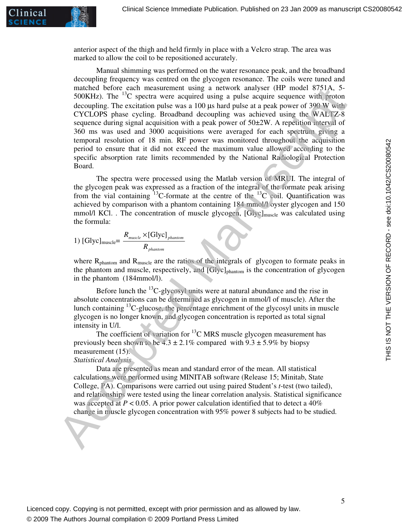

anterior aspect of the thigh and held firmly in place with a Velcro strap. The area was marked to allow the coil to be repositioned accurately.

Manual shimming was performed on the water resonance peak, and the broadband decoupling frequency was centred on the glycogen resonance. The coils were tuned and matched before each measurement using a network analyser (HP model 8751A, 5- 500KHz). The  ${}^{13}C$  spectra were acquired using a pulse acquire sequence with proton decoupling. The excitation pulse was a 100 us hard pulse at a peak power of  $390 \text{ W}$  with CYCLOPS phase cycling. Broadband decoupling was achieved using the WALTZ-8 sequence during signal acquisition with a peak power of 50±2W. A repetition interval of 360 ms was used and 3000 acquisitions were averaged for each spectrum giving a temporal resolution of 18 min. RF power was monitored throughout the acquisition period to ensure that it did not exceed the maximum value allowed according to the specific absorption rate limits recommended by the National Radiological Protection Board. multiche determinal muscle and measurement using a network insultee of SOLA .5<br>
SOOKHz). The <sup>13</sup>C spectra were exercised using a pulse acquire sequence with procedure sequence CVCLOPS phase cycling. Showboard decoupling

The spectra were processed using the Matlab version of MRUI. The integral of the glycogen peak was expressed as a fraction of the integral of the formate peak arising from the vial containing <sup>13</sup>C-formate at the centre of the <sup>13</sup>C coil. Quantification was achieved by comparison with a phantom containing 184 mmol/l oyster glycogen and 150 mmol/l KCl. . The concentration of muscle glycogen, [Glyc]<sub>muscle</sub> was calculated using the formula:

1) 
$$
[Glyc]_{\text{muscle}} = \frac{R_{\text{muscle}} \times [Glyc]_{\text{phantom}}}{R_{\text{phantom}}}
$$

where  $R_{\text{phantom}}$  and  $R_{\text{muscle}}$  are the ratios of the integrals of glycogen to formate peaks in the phantom and muscle, respectively, and [Glyc]<sub>phantom</sub> is the concentration of glycogen in the phantom (184mmol/l).

Before lunch the  $^{13}$ C-glycosyl units were at natural abundance and the rise in absolute concentrations can be determined as glycogen in mmol/l of muscle). After the lunch containing  ${}^{13}C$ -glucose, the percentage enrichment of the glycosyl units in muscle glycogen is no longer known, and glycogen concentration is reported as total signal intensity in U/l.

The coefficient of variation for  ${}^{13}$ C MRS muscle glycogen measurement has previously been shown to be  $4.3 \pm 2.1\%$  compared with  $9.3 \pm 5.9\%$  by biopsy measurement (15).

#### *Statistical Analysis*

Data are presented as mean and standard error of the mean. All statistical calculations were performed using MINITAB software (Release 15; Minitab, State College, PA). Comparisons were carried out using paired Student's *t*-test (two tailed), and relationships were tested using the linear correlation analysis. Statistical significance was accepted at  $P < 0.05$ . A prior power calculation identified that to detect a 40% change in muscle glycogen concentration with 95% power 8 subjects had to be studied.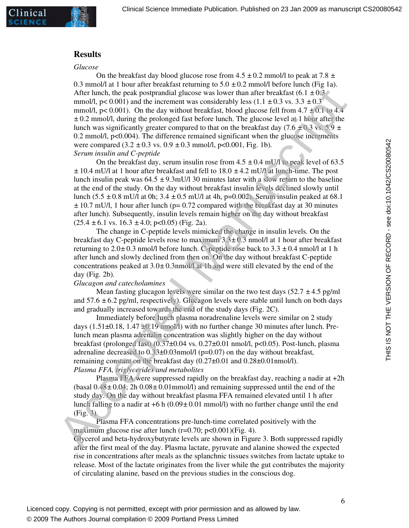#### **Results**

#### *Glucose*

On the breakfast day blood glucose rose from  $4.5 \pm 0.2$  mmol/l to peak at  $7.8 \pm 1.5$ 0.3 mmol/l at 1 hour after breakfast returning to  $5.0 \pm 0.2$  mmol/l before lunch (Fig 1a). After lunch, the peak postprandial glucose was lower than after breakfast  $(6.1 \pm 0.3 \degree)$ mmol/l,  $p < 0.001$ ) and the increment was considerably less  $(1.1 \pm 0.3 \text{ vs. } 3.3 \pm 0.3)$ mmol/l,  $p < 0.001$ ). On the day without breakfast, blood glucose fell from  $4.7 \pm 0.1$  to  $4.4$ *±* 0.2 mmol/l, during the prolonged fast before lunch. The glucose level at 1 hour after the lunch was significantly greater compared to that on the breakfast day (7.6  $\pm$  0.3 vs. 5.9  $\pm$ 0.2 mmol/l, p<0.004). The difference remained significant when the glucose increments were compared (3.2 *±* 0.3 vs. 0.9 *±* 0.3 mmol/l, p<0.001, Fig. 1b). *Serum insulin and C-peptide*  After lunch, the peak postpandial glue<br>case was lower than after headfast (6.1 ± 0.3<br>mmol/l, p< 0.001) and the increment was considerably less (1.1 ± 0.3 vs. 3.3 ±0.3<br>mmol/l, p< 0.001). On the day without brackfast head g

On the breakfast day, serum insulin rose from  $4.5 \pm 0.4$  mU/l to peak level of 63.5 *±* 10.4 mU/l at 1 hour after breakfast and fell to 18.0 *±* 4.2 mU/l at lunch-time. The post lunch insulin peak was  $64.5 \pm 9.3$  mU/l 30 minutes later with a slow return to the baseline at the end of the study. On the day without breakfast insulin levels declined slowly until lunch (5.5 *±* 0.8 mU/l at 0h; 3.4 *±* 0.5 mU/l at 4h, p=0.002). Serum insulin peaked at 68.1 *±* 10.7 mU/l, 1 hour after lunch (p= 0.72 compared with the breakfast day at 30 minutes after lunch). Subsequently, insulin levels remain higher on the day without breakfast  $(25.4 \pm 6.1 \text{ vs. } 16.3 \pm 4.0; \text{ p} < 0.05)$  (Fig. 2a).

The change in C-peptide levels mimicked the change in insulin levels. On the breakfast day C-peptide levels rose to maximum 3.3*±* 0.3 nmol/l at 1 hour after breakfast returning to  $2.0 \pm 0.3$  nmol/l before lunch. C-peptide rose back to  $3.3 \pm 0.4$  nmol/l at 1 h after lunch and slowly declined from then on. On the day without breakfast C-peptide concentrations peaked at 3.0*±* 0.3nmol/l at 1h and were still elevated by the end of the day (Fig. 2b).

#### *Glucagon and catecholamines*

Mean fasting glucagon levels were similar on the two test days (52.7 *±* 4.5 pg/ml and 57.6 *±* 6.2 pg/ml, respectively). Glucagon levels were stable until lunch on both days and gradually increased towards the end of the study days (Fig. 2C).

Immediately before lunch plasma noradrenaline levels were similar on 2 study days (1.51 $\pm$ 0.18, 1.47 $\pm$ 0.19 nmol/l) with no further change 30 minutes after lunch. Prelunch mean plasma adrenalin concentration was slightly higher on the day without breakfast (prolonged fast)  $(0.37\pm0.04 \text{ vs. } 0.27\pm0.01 \text{ nmol/l}, p<0.05)$ . Post-lunch, plasma adrenaline decreased to 0.33±0.03nmol/l (p=0.07) on the day without breakfast, remaining constant on the breakfast day  $(0.27\pm0.01$  and  $0.28\pm0.01$ nmol/l). *Plasma FFA, triglycerides and metabolites* 

Plasma FFA were suppressed rapidly on the breakfast day, reaching a nadir at +2h (basal 0.48*±* 0.04; 2h 0.08*±* 0.01mmol/l) and remaining suppressed until the end of the study day. On the day without breakfast plasma FFA remained elevated until 1 h after lunch falling to a nadir at +6 h (0.09*±* 0.01 mmol/l) with no further change until the end (Fig. 3).

Plasma FFA concentrations pre-lunch-time correlated positively with the maximum glucose rise after lunch (r=0.70; p<0.001)(Fig. 4).

Glycerol and beta-hydroxybutyrate levels are shown in Figure 3. Both suppressed rapidly after the first meal of the day. Plasma lactate, pyruvate and alanine showed the expected rise in concentrations after meals as the splanchnic tissues switches from lactate uptake to release. Most of the lactate originates from the liver while the gut contributes the majority of circulating alanine, based on the previous studies in the conscious dog.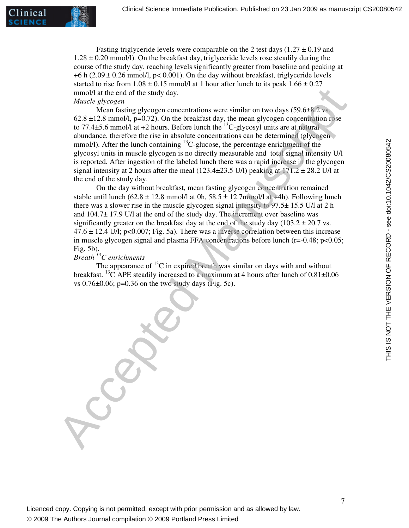

Fasting triglyceride levels were comparable on the 2 test days  $(1.27 \pm 0.19 \text{ and } 1.27 \pm 0.19 \text{ and } 1.27 \pm 0.19 \text{ and } 1.27 \pm 0.19 \text{ and } 1.27 \pm 0.19 \text{ and } 1.27 \pm 0.19 \text{ and } 1.27 \pm 0.19 \text{ and } 1.27 \pm 0.19 \text{ and } 1.27 \pm 0.19 \text{ and } 1.2$  $1.28 \pm 0.20$  mmol/l). On the breakfast day, triglyceride levels rose steadily during the course of the study day, reaching levelssignificantly greater from baseline and peaking at  $+6$  h (2.09  $\pm$  0.26 mmol/l, p< 0.001). On the day without breakfast, triglyceride levels started to rise from  $1.08 \pm 0.15$  mmol/l at 1 hour after lunch to its peak  $1.66 \pm 0.27$ mmol/l at the end of the study day.

#### *Muscle glycogen*

Mean fasting glycogen concentrations were similar on two days (59.6 $\pm$ 8.2 vs.  $62.8 \pm 12.8$  mmol/l, p=0.72). On the breakfast day, the mean glycogen concentration rose to 77.4 $\pm$ 5.6 mmol/l at +2 hours. Before lunch the  $^{13}$ C-glycosyl units are at natural abundance, therefore the rise in absolute concentrations can be determined (glycogen mmol/l). After the lunch containing <sup>13</sup>C-glucose, the percentage enrichment of the glycosyl units in muscle glycogen is no directly measurable and total signal intensity U/l is reported. After ingestion of the labeled lunch there was a rapid increase in the glycogen signal intensity at 2 hours after the meal (123.4 $\pm$ 23.5 U/l) peaking at 171.2  $\pm$  28.2 U/l at the end of the study day. mund/l at the end of the study day.<br>
Musch glycogen concentrations were similar on two days (59.6±%2 vs.<br>
Musch faster as proposed concentrations were similar on two days (59.6±%2 vs.<br>
18.12.3 mmol/l, m-6/72). On the heak

On the day without breakfast, mean fasting glycogen concentration remained stable until lunch  $(62.8 \pm 12.8 \text{ mmol/l at 0h}, 58.5 \pm 12.7 \text{ mmol/l at +4h})$ . Following lunch there was a slower rise in the muscle glycogen signal intensity to 97.5± 15.5 U/l at 2 h and 104.7± 17.9 U/l at the end of the study day. The increment over baseline was significantly greater on the breakfast day at the end of the study day (103.2  $\pm$  20.7 vs.  $47.6 \pm 12.4$  U/l; p<0.007; Fig. 5a). There was a inverse correlation between this increase in muscle glycogen signal and plasma FFA concentrations before lunch (r=-0.48; p<0.05; Fig. 5b).

## *Breath <sup>13</sup>C enrichments*

The appearance of  ${}^{13}C$  in expired breath was similar on days with and without breakfast. <sup>13</sup>C APE steadily increased to a maximum at 4 hours after lunch of  $0.81\pm0.06$ vs  $0.76\pm0.06$ ; p=0.36 on the two study days (Fig. 5c).

Licenced copy. Copying is not permitted, except with prior permission and as allowed by law. © 2009 The Authors Journal compilation © 2009 Portland Press Limited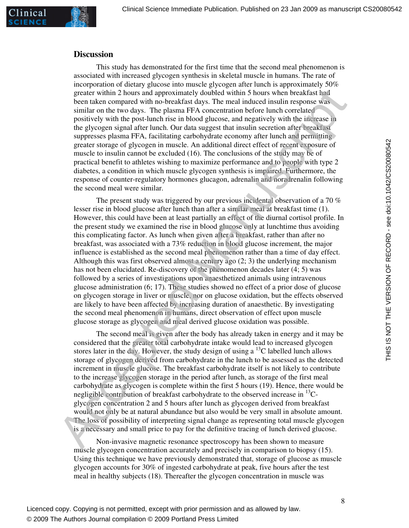#### **Discussion**

This study has demonstrated for the first time that the second meal phenomenon is associated with increased glycogen synthesis in skeletal muscle in humans. The rate of incorporation of dietary glucose into muscle glycogen after lunch is approximately 50% greater within 2 hours and approximately doubled within 5 hours when breakfast had been taken compared with no-breakfast days. The meal induced insulin response was similar on the two days. The plasma FFA concentration before lunch correlated positively with the post-lunch rise in blood glucose, and negatively with the increase in the glycogen signal after lunch. Our data suggest that insulin secretion after breakfast suppresses plasma FFA, facilitating carbohydrate economy after lunch and permitting greater storage of glycogen in muscle. An additional direct effect of recent exposure of muscle to insulin cannot be excluded (16). The conclusions of the study may be of practical benefit to athletes wishing to maximize performance and to people with type 2 diabetes, a condition in which muscle glycogen synthesis is impaired. Furthermore, the response of counter-regulatory hormones glucagon, adrenalin and noradrenalin following the second meal were similar.

 The present study was triggered by our previous incidental observation of a 70 % lesser rise in blood glucose after lunch than after a similar meal at breakfast time (1). However, this could have been at least partially an effect of the diurnal cortisol profile. In the present study we examined the rise in blood glucose only at lunchtime thus avoiding this complicating factor. As lunch when given after a breakfast, rather than after no breakfast, was associated with a 73% reduction in blood glucose increment, the major influence is established as the second meal phenomenon rather than a time of day effect. Although this was first observed almost a century ago  $(2, 3)$  the underlying mechanism has not been elucidated. Re-discovery of the phenomenon decades later (4; 5) was followed by a series of investigations upon anaesthetized animals using intravenous glucose administration (6; 17). These studies showed no effect of a prior dose of glucose on glycogen storage in liver or muscle, nor on glucose oxidation, but the effects observed are likely to have been affected by increasing duration of anaesthetic. By investigating the second meal phenomenon in humans, direct observation of effect upon muscle glucose storage as glycogen and meal derived glucose oxidation was possible. greate within 2 hours and approximately doubled within 3 houns when heals fart in the state and some interaction and some interaction and some interaction and some interaction and some interaction particles (as a smitter

The second meal is given after the body has already taken in energy and it may be considered that the greater total carbohydrate intake would lead to increased glycogen stores later in the day. However, the study design of using a  $^{13}$ C labelled lunch allows storage of glycogen derived from carbohydrate in the lunch to be assessed as the detected increment in muscle glucose. The breakfast carbohydrate itself is not likely to contribute to the increase glycogen storage in the period after lunch, as storage of the first meal carbohydrate as glycogen is complete within the first 5 hours (19). Hence, there would be negligible contribution of breakfast carbohydrate to the observed increase in  $^{13}$ Cglycogen concentration 2 and 5 hours after lunch as glycogen derived from breakfast would not only be at natural abundance but also would be very small in absolute amount. The loss of possibility of interpreting signal change as representing total muscle glycogen is a necessary and small price to pay for the definitive tracing of lunch derived glucose.

Non-invasive magnetic resonance spectroscopy has been shown to measure muscle glycogen concentration accurately and precisely in comparison to biopsy (15). Using this technique we have previously demonstrated that, storage of glucose as muscle glycogen accounts for 30% of ingested carbohydrate at peak, five hours after the test meal in healthy subjects (18). Thereafter the glycogen concentration in muscle was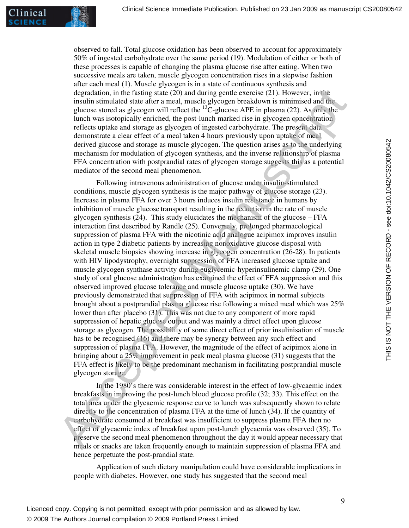linical

observed to fall. Total glucose oxidation has been observed to account for approximately 50% of ingested carbohydrate over the same period (19). Modulation of either or both of these processes is capable of changing the plasma glucose rise after eating. When two successive meals are taken, muscle glycogen concentration rises in a stepwise fashion after each meal (1). Muscle glycogen is in a state of continuous synthesis and degradation, in the fasting state (20) and during gentle exercise (21). However, in the insulin stimulated state after a meal, muscle glycogen breakdown is minimised and the glucose stored as glycogen will reflect the  ${}^{13}C$ -glucose APE in plasma (22). As only the lunch was isotopically enriched, the post-lunch marked rise in glycogen concentration reflects uptake and storage as glycogen of ingested carbohydrate. The present data demonstrate a clear effect of a meal taken 4 hours previously upon uptake of meal derived glucose and storage as muscle glycogen. The question arises as to the underlying mechanism for modulation of glycogen synthesis, and the inverse relationship of plasma FFA concentration with postprandial rates of glycogen storage suggests this as a potential mediator of the second meal phenomenon.

Following intravenous administration of glucose under insulin-stimulated conditions, muscle glycogen synthesis is the major pathway of glucose storage (23). Increase in plasma FFA for over 3 hours induces insulin resistance in humans by inhibition of muscle glucose transport resulting in the reduction in the rate of muscle glycogen synthesis  $(24)$ . This study elucidates the mechanism of the glucose – FFA interaction first described by Randle (25). Conversely, prolonged pharmacological suppression of plasma FFA with the nicotinic acid analogue acipimox improves insulin action in type 2 diabetic patients by increasing nonoxidative glucose disposal with skeletal muscle biopsies showing increase in glycogen concentration (26-28). In patients with HIV lipodystrophy, overnight suppression of FFA increased glucose uptake and muscle glycogen synthase activity during euglycemic-hyperinsulinemic clamp (29). One study of oral glucose administration has examined the effect of FFA suppression and this observed improved glucose tolerance and muscle glucose uptake (30). We have previously demonstrated that suppression of FFA with acipimox in normal subjects brought about a postprandial plasma glucose rise following a mixed meal which was 25% lower than after placebo (31). This was not due to any component of more rapid suppression of hepatic glucose output and was mainly a direct effect upon glucose storage as glycogen. The possibility of some direct effect of prior insulinisation of muscle has to be recognised (16) and there may be synergy between any such effect and suppression of plasma FFA. However, the magnitude of the effect of acipimox alone in bringing about a 25% improvement in peak meal plasma glucose (31) suggests that the FFA effect is likely to be the predominant mechanism in facilitating postprandial muscle glycogen storage. degradation, in the fasting state (20) and during gentic excrets (21), However, in the presention in the fusting state and subsequent acceles (21). However, in the gluons stored as glvogen weaklements with the gluons and

In the 1980's there was considerable interest in the effect of low-glycaemic index breakfasts in improving the post-lunch blood glucose profile (32; 33). This effect on the total area under the glycaemic response curve to lunch was subsequently shown to relate directly to the concentration of plasma FFA at the time of lunch (34). If the quantity of carbohydrate consumed at breakfast was insufficient to suppress plasma FFA then no effect of glycaemic index of breakfast upon post-lunch glycaemia was observed (35). To preserve the second meal phenomenon throughout the day it would appear necessary that meals or snacks are taken frequently enough to maintain suppression of plasma FFA and hence perpetuate the post-prandial state.

Application of such dietary manipulation could have considerable implications in people with diabetes. However, one study has suggested that the second meal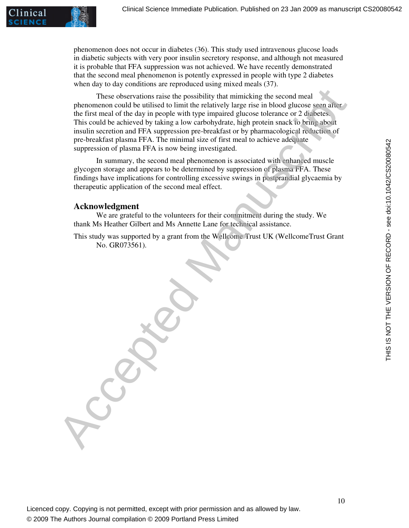

phenomenon does not occur in diabetes (36). This study used intravenous glucose loads in diabetic subjects with very poor insulin secretory response, and although not measured it is probable that FFA suppression was not achieved. We have recently demonstrated that the second meal phenomenon is potently expressed in people with type 2 diabetes when day to day conditions are reproduced using mixed meals (37).

These observations raise the possibility that mimicking the second meal phenomenon could be utilised to limit the relatively large rise in blood glucose seen after the first meal of the day in people with type impaired glucose tolerance or 2 diabetes. This could be achieved by taking a low carbohydrate, high protein snack to bring about insulin secretion and FFA suppression pre-breakfast or by pharmacological reduction of pre-breakfast plasma FFA. The minimal size of first meal to achieve adequate suppression of plasma FFA is now being investigated. These observations raise the possibility that mimicking the second meal<br>phenomenon could be utilively a brinit be relatively large rises in booth gluonse seem after<br>the first meal of the day in prople with type impaired gl

In summary, the second meal phenomenon is associated with enhanced muscle glycogen storage and appears to be determined by suppression of plasma FFA. These findings have implications for controlling excessive swings in postprandial glycaemia by therapeutic application of the second meal effect.

#### **Acknowledgment**

We are grateful to the volunteers for their commitment during the study. We thank Ms Heather Gilbert and Ms Annette Lane for technical assistance.

This study was supported by a grant from the Wellcome Trust UK (WellcomeTrust Grant No. GR073561).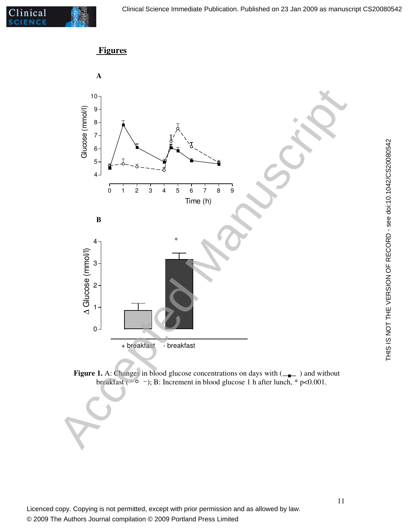

## **Figures**





THIS IS NOT THE VERSION OF RECORD - see doi:10.1042/CS20080542

THIS IS NOT THE VERSION OF RECORD - see doi:10.1042/CS20080542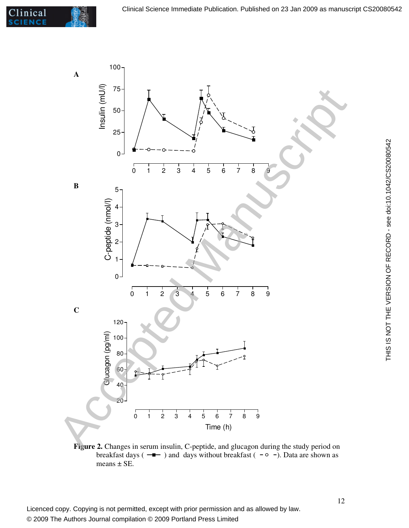

Figure 2. Changes in serum insulin, C-peptide, and glucagon during the study period on breakfast days ( $-\rightarrow$ ) and days without breakfast ( $\sim$  -). Data are shown as means ± SE.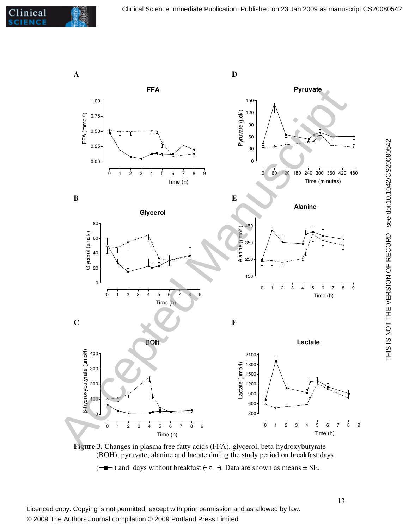





( ) and days without breakfast ( ). Data are shown as means ± SE.

THIS IS NOT THE VERSION OF RECORD - see doi:10.1042/CS20080542

THIS IS NOT THE VERSION OF RECORD - see doi:10.1042/CS20080542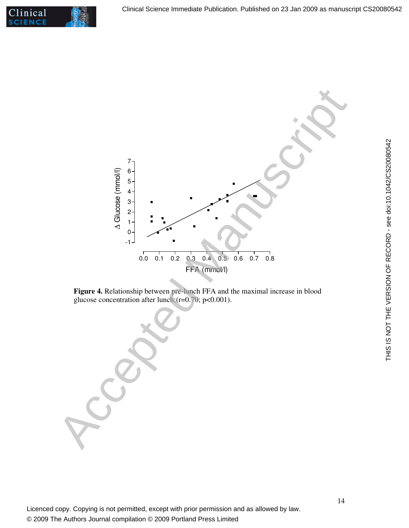



**Figure 4.** Relationship between pre-lunch FFA and the maximal increase in blood glucose concentration after lunch;(r=0.70; p<0.001).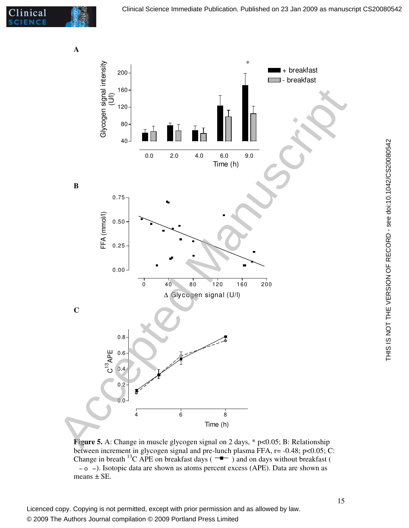

**Figure 5.** A: Change in muscle glycogen signal on 2 days, \* p<0.05; B: Relationship between increment in glycogen signal and pre-lunch plasma FFA, r= -0.48; p<0.05; C: Change in breath <sup>13</sup>C APE on breakfast days ( $\rightarrow$ ) and on days without breakfast ( ). Isotopic data are shown as atoms percent excess (APE). Data are shown as means  $\pm$  SE.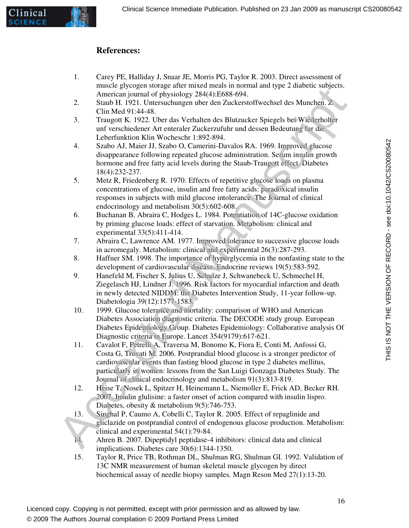### **References:**

- 1. Carey PE, Halliday J, Snaar JE, Morris PG, Taylor R. 2003. Direct assessment of muscle glycogen storage after mixed meals in normal and type 2 diabetic subjects. American journal of physiology 284(4):E688-694.
- 2. Staub H. 1921. Untersuchungen uber den Zuckerstoffwechsel des Munchen. Z Clin Med 91:44-48.
- 3. Traugott K. 1922. Uber das Verhalten des Blutzucker Spiegels bei Wiederholter unf verschiedener Art enteraler Zuckerzufuhr und dessen Bedeutung fur die Leberfunktion Klin Wocheschr 1:892-894.
- 4. Szabo AJ, Maier JJ, Szabo O, Camerini-Davalos RA. 1969. Improved glucose disappearance following repeated glucose administration. Serum insulin growth hormone and free fatty acid levels during the Staub-Traugott effect. Diabetes 18(4):232-237.
- 5. Metz R, Friedenberg R. 1970. Effects of repetitive glucose loads on plasma concentrations of glucose, insulin and free fatty acids: paradoxical insulin responses in subjects with mild glucose intolerance. The Journal of clinical endocrinology and metabolism 30(5):602-608.
- 6. Buchanan B, Abraira C, Hodges L. 1984. Potentiation of 14C-glucose oxidation by priming glucose loads: effect of starvation. Metabolism: clinical and experimental 33(5):411-414.
- 7. Abraira C, Lawrence AM. 1977. Improved tolerance to successive glucose loads in acromegaly. Metabolism: clinical and experimental 26(3):287-293.
- 8. Haffner SM. 1998. The importance of hyperglycemia in the nonfasting state to the development of cardiovascular disease. Endocrine reviews 19(5):583-592.
- 9. Hanefeld M, Fischer S, Julius U, Schulze J, Schwanebeck U, Schmechel H, Ziegelasch HJ, Lindner J. 1996. Risk factors for myocardial infarction and death in newly detected NIDDM: the Diabetes Intervention Study, 11-year follow-up. Diabetologia 39(12):1577-1583.
- 10. 1999. Glucose tolerance and mortality: comparison of WHO and American Diabetes Association diagnostic criteria. The DECODE study group. European Diabetes Epidemiology Group. Diabetes Epidemiology: Collaborative analysis Of Diagnostic criteria in Europe. Lancet 354(9179):617-621.
- 11. Cavalot F, Petrelli A, Traversa M, Bonomo K, Fiora E, Conti M, Anfossi G, Costa G, Trovati M. 2006. Postprandial blood glucose is a stronger predictor of cardiovascular events than fasting blood glucose in type 2 diabetes mellitus, particularly in women: lessons from the San Luigi Gonzaga Diabetes Study. The Journal of clinical endocrinology and metabolism 91(3):813-819. Access to the Homain of the Homain of the Homain of the Samples and the Manuscript<br>
2. Similar 2014 Harmonium and physiology 284(4):E688-694.<br>
2. Similar 2014 Harmonium and the Manuscript of the Manuscript of the Manuscrip
	- 12. Heise T, Nosek L, Spitzer H, Heinemann L, Niemoller E, Frick AD, Becker RH. 2007. Insulin glulisine: a faster onset of action compared with insulin lispro. Diabetes, obesity & metabolism 9(5):746-753.
	- 13. Singhal P, Caumo A, Cobelli C, Taylor R. 2005. Effect of repaglinide and gliclazide on postprandial control of endogenous glucose production. Metabolism: clinical and experimental 54(1):79-84.
	- 14. Ahren B. 2007. Dipeptidyl peptidase-4 inhibitors: clinical data and clinical implications. Diabetes care 30(6):1344-1350.
	- 15. Taylor R, Price TB, Rothman DL, Shulman RG, Shulman GI. 1992. Validation of 13C NMR measurement of human skeletal muscle glycogen by direct biochemical assay of needle biopsy samples. Magn Reson Med 27(1):13-20.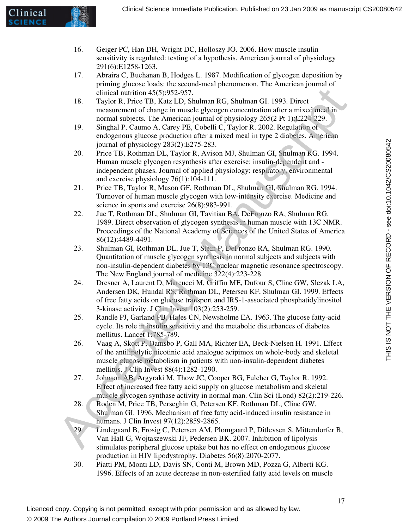

- 16. Geiger PC, Han DH, Wright DC, Holloszy JO. 2006. How muscle insulin sensitivity is regulated: testing of a hypothesis. American journal of physiology 291(6):E1258-1263.
- 17. Abraira C, Buchanan B, Hodges L. 1987. Modification of glycogen deposition by priming glucose loads: the second-meal phenomenon. The American journal of clinical nutrition 45(5):952-957.
- 18. Taylor R, Price TB, Katz LD, Shulman RG, Shulman GI. 1993. Direct measurement of change in muscle glycogen concentration after a mixed meal in normal subjects. The American journal of physiology 265(2 Pt 1):E224-229.
- 19. Singhal P, Caumo A, Carey PE, Cobelli C, Taylor R. 2002. Regulation of endogenous glucose production after a mixed meal in type 2 diabetes. American journal of physiology 283(2):E275-283.
- 20. Price TB, Rothman DL, Taylor R, Avison MJ, Shulman GI, Shulman RG. 1994. Human muscle glycogen resynthesis after exercise: insulin-dependent and independent phases. Journal of applied physiology: respiratory, environmental and exercise physiology 76(1):104-111.
- 21. Price TB, Taylor R, Mason GF, Rothman DL, Shulman GI, Shulman RG. 1994. Turnover of human muscle glycogen with low-intensity exercise. Medicine and science in sports and exercise 26(8):983-991.
- 22. Jue T, Rothman DL, Shulman GI, Tavitian BA, DeFronzo RA, Shulman RG. 1989. Direct observation of glycogen synthesis in human muscle with 13C NMR. Proceedings of the National Academy of Sciences of the United States of America 86(12):4489-4491.
- 23. Shulman GI, Rothman DL, Jue T, Stein P, DeFronzo RA, Shulman RG. 1990. Quantitation of muscle glycogen synthesis in normal subjects and subjects with non-insulin-dependent diabetes by 13C nuclear magnetic resonance spectroscopy. The New England journal of medicine 322(4):223-228.
- 24. Dresner A, Laurent D, Marcucci M, Griffin ME, Dufour S, Cline GW, Slezak LA, Andersen DK, Hundal RS, Rothman DL, Petersen KF, Shulman GI. 1999. Effects of free fatty acids on glucose transport and IRS-1-associated phosphatidylinositol 3-kinase activity. J Clin Invest 103(2):253-259. elinical untridon 45(53/92529537).<br>
Taylor R, Price TB, Kara LD, Shulman RG, Shulman GT, 1993, Direct<br>
measurement of change in muscle glycogen concentration after a mixed once in<br>
mermul subjects. The American journal of
	- 25. Randle PJ, Garland PB, Hales CN, Newsholme EA. 1963. The glucose fatty-acid cycle. Its role in insulin sensitivity and the metabolic disturbances of diabetes mellitus. Lancet 1:785-789.
	- 26. Vaag A, Skott P, Damsbo P, Gall MA, Richter EA, Beck-Nielsen H. 1991. Effect of the antilipolytic nicotinic acid analogue acipimox on whole-body and skeletal muscle glucose metabolism in patients with non-insulin-dependent diabetes mellitus. J Clin Invest 88(4):1282-1290.
	- 27. Johnson AB, Argyraki M, Thow JC, Cooper BG, Fulcher G, Taylor R. 1992. Effect of increased free fatty acid supply on glucose metabolism and skeletal muscle glycogen synthase activity in normal man. Clin Sci (Lond) 82(2):219-226.
	- 28. Roden M, Price TB, Perseghin G, Petersen KF, Rothman DL, Cline GW, Shulman GI. 1996. Mechanism of free fatty acid-induced insulin resistance in humans. J Clin Invest 97(12):2859-2865.
	- 29. Lindegaard B, Frosig C, Petersen AM, Plomgaard P, Ditlevsen S, Mittendorfer B, Van Hall G, Wojtaszewski JF, Pedersen BK. 2007. Inhibition of lipolysis stimulates peripheral glucose uptake but has no effect on endogenous glucose production in HIV lipodystrophy. Diabetes 56(8):2070-2077.
	- 30. Piatti PM, Monti LD, Davis SN, Conti M, Brown MD, Pozza G, Alberti KG. 1996. Effects of an acute decrease in non-esterified fatty acid levels on muscle